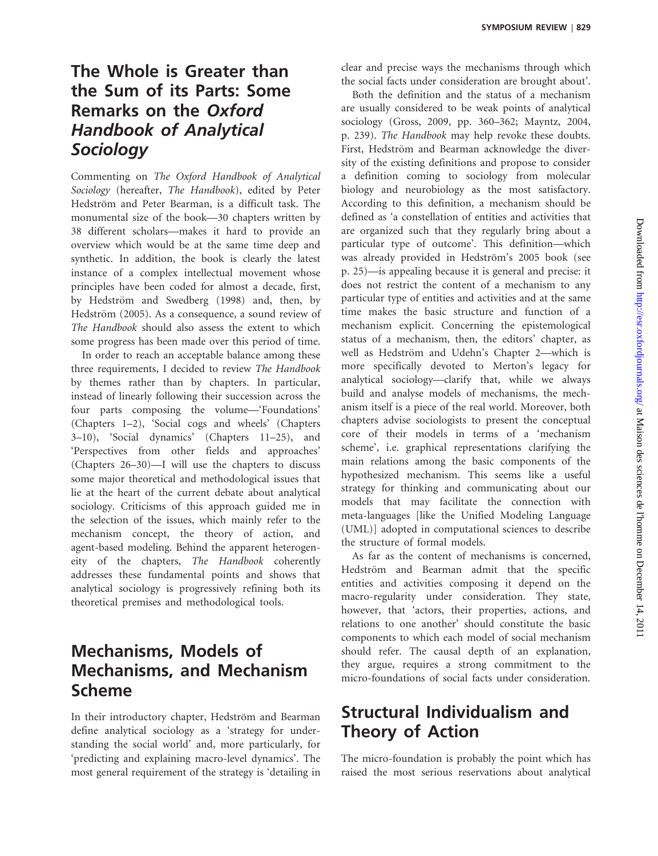# The Whole is Greater than the Sum of its Parts: Some Remarks on the Oxford Handbook of Analytical **Sociology**

Commenting on The Oxford Handbook of Analytical Sociology (hereafter, The Handbook), edited by Peter Hedström and Peter Bearman, is a difficult task. The monumental size of the book—30 chapters written by 38 different scholars—makes it hard to provide an overview which would be at the same time deep and synthetic. In addition, the book is clearly the latest instance of a complex intellectual movement whose principles have been coded for almost a decade, first, by Hedström and Swedberg (1998) and, then, by Hedström (2005). As a consequence, a sound review of The Handbook should also assess the extent to which some progress has been made over this period of time.

In order to reach an acceptable balance among these three requirements, I decided to review The Handbook by themes rather than by chapters. In particular, instead of linearly following their succession across the four parts composing the volume—'Foundations' (Chapters 1–2), 'Social cogs and wheels' (Chapters 3–10), 'Social dynamics' (Chapters 11–25), and 'Perspectives from other fields and approaches' (Chapters 26–30)—I will use the chapters to discuss some major theoretical and methodological issues that lie at the heart of the current debate about analytical sociology. Criticisms of this approach guided me in the selection of the issues, which mainly refer to the mechanism concept, the theory of action, and agent-based modeling. Behind the apparent heterogeneity of the chapters, The Handbook coherently addresses these fundamental points and shows that analytical sociology is progressively refining both its theoretical premises and methodological tools.

# Mechanisms, Models of Mechanisms, and Mechanism Scheme

In their introductory chapter, Hedström and Bearman define analytical sociology as a 'strategy for understanding the social world' and, more particularly, for 'predicting and explaining macro-level dynamics'. The most general requirement of the strategy is 'detailing in clear and precise ways the mechanisms through which the social facts under consideration are brought about'.

Both the definition and the status of a mechanism are usually considered to be weak points of analytical sociology (Gross, 2009, pp. 360–362; Mayntz, 2004, p. 239). The Handbook may help revoke these doubts. First, Hedström and Bearman acknowledge the diversity of the existing definitions and propose to consider a definition coming to sociology from molecular biology and neurobiology as the most satisfactory. According to this definition, a mechanism should be defined as 'a constellation of entities and activities that are organized such that they regularly bring about a particular type of outcome'. This definition—which was already provided in Hedström's 2005 book (see p. 25)—is appealing because it is general and precise: it does not restrict the content of a mechanism to any particular type of entities and activities and at the same time makes the basic structure and function of a mechanism explicit. Concerning the epistemological status of a mechanism, then, the editors' chapter, as well as Hedström and Udehn's Chapter 2-which is more specifically devoted to Merton's legacy for analytical sociology—clarify that, while we always build and analyse models of mechanisms, the mechanism itself is a piece of the real world. Moreover, both chapters advise sociologists to present the conceptual core of their models in terms of a 'mechanism scheme', i.e. graphical representations clarifying the main relations among the basic components of the hypothesized mechanism. This seems like a useful strategy for thinking and communicating about our models that may facilitate the connection with meta-languages [like the Unified Modeling Language (UML)] adopted in computational sciences to describe the structure of formal models.

As far as the content of mechanisms is concerned, Hedström and Bearman admit that the specific entities and activities composing it depend on the macro-regularity under consideration. They state, however, that 'actors, their properties, actions, and relations to one another' should constitute the basic components to which each model of social mechanism should refer. The causal depth of an explanation, they argue, requires a strong commitment to the micro-foundations of social facts under consideration.

# Structural Individualism and Theory of Action

The micro-foundation is probably the point which has raised the most serious reservations about analytical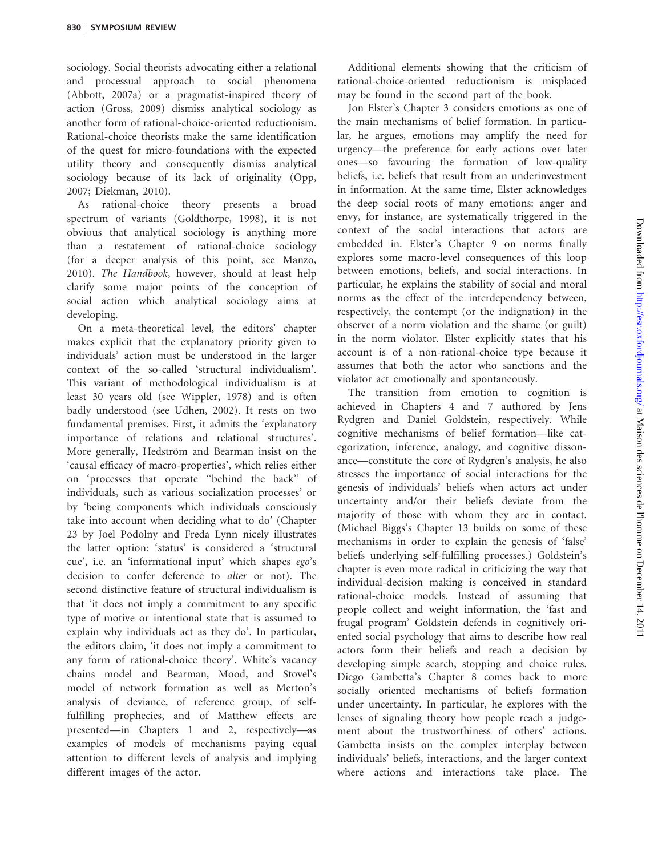sociology. Social theorists advocating either a relational and processual approach to social phenomena (Abbott, 2007a) or a pragmatist-inspired theory of action (Gross, 2009) dismiss analytical sociology as another form of rational-choice-oriented reductionism. Rational-choice theorists make the same identification of the quest for micro-foundations with the expected utility theory and consequently dismiss analytical sociology because of its lack of originality (Opp, 2007; Diekman, 2010).

As rational-choice theory presents a broad spectrum of variants (Goldthorpe, 1998), it is not obvious that analytical sociology is anything more than a restatement of rational-choice sociology (for a deeper analysis of this point, see Manzo, 2010). The Handbook, however, should at least help clarify some major points of the conception of social action which analytical sociology aims at developing.

On a meta-theoretical level, the editors' chapter makes explicit that the explanatory priority given to individuals' action must be understood in the larger context of the so-called 'structural individualism'. This variant of methodological individualism is at least 30 years old (see Wippler, 1978) and is often badly understood (see Udhen, 2002). It rests on two fundamental premises. First, it admits the 'explanatory importance of relations and relational structures'. More generally, Hedström and Bearman insist on the 'causal efficacy of macro-properties', which relies either on 'processes that operate ''behind the back'' of individuals, such as various socialization processes' or by 'being components which individuals consciously take into account when deciding what to do' (Chapter 23 by Joel Podolny and Freda Lynn nicely illustrates the latter option: 'status' is considered a 'structural cue', i.e. an 'informational input' which shapes ego's decision to confer deference to alter or not). The second distinctive feature of structural individualism is that 'it does not imply a commitment to any specific type of motive or intentional state that is assumed to explain why individuals act as they do'. In particular, the editors claim, 'it does not imply a commitment to any form of rational-choice theory'. White's vacancy chains model and Bearman, Mood, and Stovel's model of network formation as well as Merton's analysis of deviance, of reference group, of selffulfilling prophecies, and of Matthew effects are presented—in Chapters 1 and 2, respectively—as examples of models of mechanisms paying equal attention to different levels of analysis and implying different images of the actor.

Additional elements showing that the criticism of rational-choice-oriented reductionism is misplaced may be found in the second part of the book.

Jon Elster's Chapter 3 considers emotions as one of the main mechanisms of belief formation. In particular, he argues, emotions may amplify the need for urgency—the preference for early actions over later ones—so favouring the formation of low-quality beliefs, i.e. beliefs that result from an underinvestment in information. At the same time, Elster acknowledges the deep social roots of many emotions: anger and envy, for instance, are systematically triggered in the context of the social interactions that actors are embedded in. Elster's Chapter 9 on norms finally explores some macro-level consequences of this loop between emotions, beliefs, and social interactions. In particular, he explains the stability of social and moral norms as the effect of the interdependency between, respectively, the contempt (or the indignation) in the observer of a norm violation and the shame (or guilt) in the norm violator. Elster explicitly states that his account is of a non-rational-choice type because it assumes that both the actor who sanctions and the violator act emotionally and spontaneously.

The transition from emotion to cognition is achieved in Chapters 4 and 7 authored by Jens Rydgren and Daniel Goldstein, respectively. While cognitive mechanisms of belief formation—like categorization, inference, analogy, and cognitive dissonance—constitute the core of Rydgren's analysis, he also stresses the importance of social interactions for the genesis of individuals' beliefs when actors act under uncertainty and/or their beliefs deviate from the majority of those with whom they are in contact. (Michael Biggs's Chapter 13 builds on some of these mechanisms in order to explain the genesis of 'false' beliefs underlying self-fulfilling processes.) Goldstein's chapter is even more radical in criticizing the way that individual-decision making is conceived in standard rational-choice models. Instead of assuming that people collect and weight information, the 'fast and frugal program' Goldstein defends in cognitively oriented social psychology that aims to describe how real actors form their beliefs and reach a decision by developing simple search, stopping and choice rules. Diego Gambetta's Chapter 8 comes back to more socially oriented mechanisms of beliefs formation under uncertainty. In particular, he explores with the lenses of signaling theory how people reach a judgement about the trustworthiness of others' actions. Gambetta insists on the complex interplay between individuals' beliefs, interactions, and the larger context where actions and interactions take place. The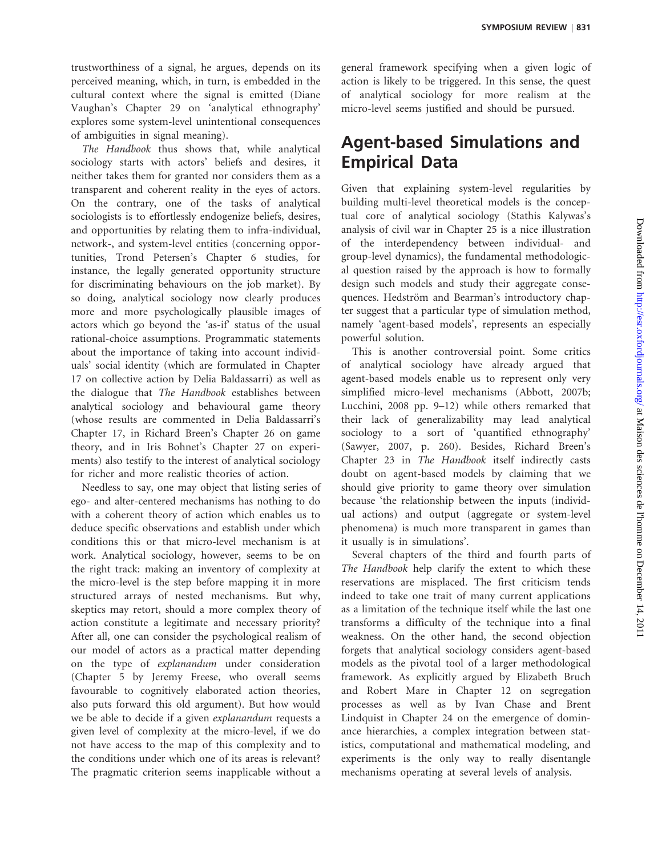trustworthiness of a signal, he argues, depends on its perceived meaning, which, in turn, is embedded in the cultural context where the signal is emitted (Diane Vaughan's Chapter 29 on 'analytical ethnography' explores some system-level unintentional consequences of ambiguities in signal meaning).

The Handbook thus shows that, while analytical sociology starts with actors' beliefs and desires, it neither takes them for granted nor considers them as a transparent and coherent reality in the eyes of actors. On the contrary, one of the tasks of analytical sociologists is to effortlessly endogenize beliefs, desires, and opportunities by relating them to infra-individual, network-, and system-level entities (concerning opportunities, Trond Petersen's Chapter 6 studies, for instance, the legally generated opportunity structure for discriminating behaviours on the job market). By so doing, analytical sociology now clearly produces more and more psychologically plausible images of actors which go beyond the 'as-if' status of the usual rational-choice assumptions. Programmatic statements about the importance of taking into account individuals' social identity (which are formulated in Chapter 17 on collective action by Delia Baldassarri) as well as the dialogue that The Handbook establishes between analytical sociology and behavioural game theory (whose results are commented in Delia Baldassarri's Chapter 17, in Richard Breen's Chapter 26 on game theory, and in Iris Bohnet's Chapter 27 on experiments) also testify to the interest of analytical sociology for richer and more realistic theories of action.

Needless to say, one may object that listing series of ego- and alter-centered mechanisms has nothing to do with a coherent theory of action which enables us to deduce specific observations and establish under which conditions this or that micro-level mechanism is at work. Analytical sociology, however, seems to be on the right track: making an inventory of complexity at the micro-level is the step before mapping it in more structured arrays of nested mechanisms. But why, skeptics may retort, should a more complex theory of action constitute a legitimate and necessary priority? After all, one can consider the psychological realism of our model of actors as a practical matter depending on the type of explanandum under consideration (Chapter 5 by Jeremy Freese, who overall seems favourable to cognitively elaborated action theories, also puts forward this old argument). But how would we be able to decide if a given explanandum requests a given level of complexity at the micro-level, if we do not have access to the map of this complexity and to the conditions under which one of its areas is relevant? The pragmatic criterion seems inapplicable without a

general framework specifying when a given logic of action is likely to be triggered. In this sense, the quest of analytical sociology for more realism at the micro-level seems justified and should be pursued.

# Agent-based Simulations and Empirical Data

Given that explaining system-level regularities by building multi-level theoretical models is the conceptual core of analytical sociology (Stathis Kalywas's analysis of civil war in Chapter 25 is a nice illustration of the interdependency between individual- and group-level dynamics), the fundamental methodological question raised by the approach is how to formally design such models and study their aggregate consequences. Hedström and Bearman's introductory chapter suggest that a particular type of simulation method, namely 'agent-based models', represents an especially powerful solution.

This is another controversial point. Some critics of analytical sociology have already argued that agent-based models enable us to represent only very simplified micro-level mechanisms (Abbott, 2007b; Lucchini, 2008 pp. 9–12) while others remarked that their lack of generalizability may lead analytical sociology to a sort of 'quantified ethnography' (Sawyer, 2007, p. 260). Besides, Richard Breen's Chapter 23 in The Handbook itself indirectly casts doubt on agent-based models by claiming that we should give priority to game theory over simulation because 'the relationship between the inputs (individual actions) and output (aggregate or system-level phenomena) is much more transparent in games than it usually is in simulations'.

Several chapters of the third and fourth parts of The Handbook help clarify the extent to which these reservations are misplaced. The first criticism tends indeed to take one trait of many current applications as a limitation of the technique itself while the last one transforms a difficulty of the technique into a final weakness. On the other hand, the second objection forgets that analytical sociology considers agent-based models as the pivotal tool of a larger methodological framework. As explicitly argued by Elizabeth Bruch and Robert Mare in Chapter 12 on segregation processes as well as by Ivan Chase and Brent Lindquist in Chapter 24 on the emergence of dominance hierarchies, a complex integration between statistics, computational and mathematical modeling, and experiments is the only way to really disentangle mechanisms operating at several levels of analysis.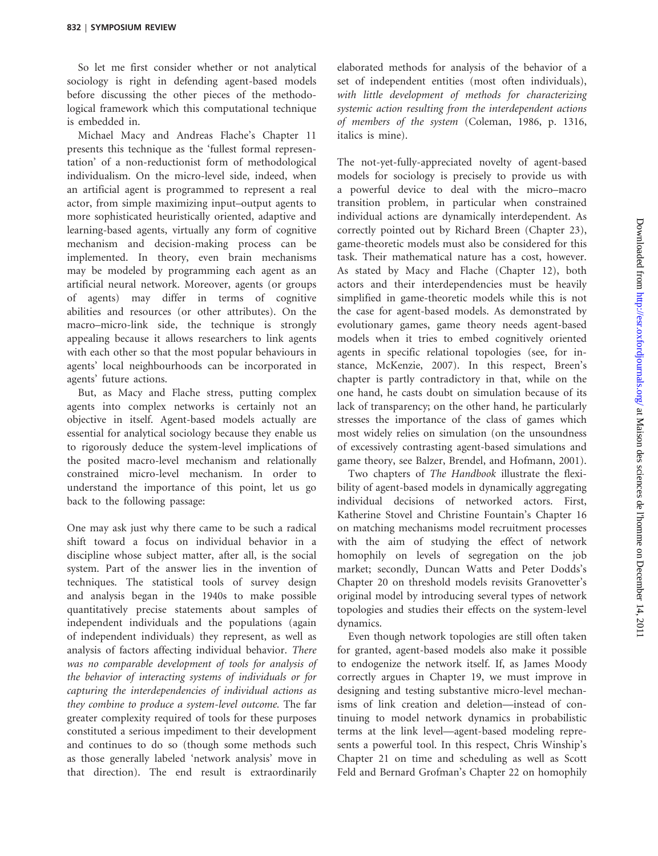So let me first consider whether or not analytical sociology is right in defending agent-based models before discussing the other pieces of the methodological framework which this computational technique is embedded in.

Michael Macy and Andreas Flache's Chapter 11 presents this technique as the 'fullest formal representation' of a non-reductionist form of methodological individualism. On the micro-level side, indeed, when an artificial agent is programmed to represent a real actor, from simple maximizing input–output agents to more sophisticated heuristically oriented, adaptive and learning-based agents, virtually any form of cognitive mechanism and decision-making process can be implemented. In theory, even brain mechanisms may be modeled by programming each agent as an artificial neural network. Moreover, agents (or groups of agents) may differ in terms of cognitive abilities and resources (or other attributes). On the macro–micro-link side, the technique is strongly appealing because it allows researchers to link agents with each other so that the most popular behaviours in agents' local neighbourhoods can be incorporated in agents' future actions.

But, as Macy and Flache stress, putting complex agents into complex networks is certainly not an objective in itself. Agent-based models actually are essential for analytical sociology because they enable us to rigorously deduce the system-level implications of the posited macro-level mechanism and relationally constrained micro-level mechanism. In order to understand the importance of this point, let us go back to the following passage:

One may ask just why there came to be such a radical shift toward a focus on individual behavior in a discipline whose subject matter, after all, is the social system. Part of the answer lies in the invention of techniques. The statistical tools of survey design and analysis began in the 1940s to make possible quantitatively precise statements about samples of independent individuals and the populations (again of independent individuals) they represent, as well as analysis of factors affecting individual behavior. There was no comparable development of tools for analysis of the behavior of interacting systems of individuals or for capturing the interdependencies of individual actions as they combine to produce a system-level outcome. The far greater complexity required of tools for these purposes constituted a serious impediment to their development and continues to do so (though some methods such as those generally labeled 'network analysis' move in that direction). The end result is extraordinarily

elaborated methods for analysis of the behavior of a set of independent entities (most often individuals), with little development of methods for characterizing systemic action resulting from the interdependent actions of members of the system (Coleman, 1986, p. 1316, italics is mine).

The not-yet-fully-appreciated novelty of agent-based models for sociology is precisely to provide us with a powerful device to deal with the micro–macro transition problem, in particular when constrained individual actions are dynamically interdependent. As correctly pointed out by Richard Breen (Chapter 23), game-theoretic models must also be considered for this task. Their mathematical nature has a cost, however. As stated by Macy and Flache (Chapter 12), both actors and their interdependencies must be heavily simplified in game-theoretic models while this is not the case for agent-based models. As demonstrated by evolutionary games, game theory needs agent-based models when it tries to embed cognitively oriented agents in specific relational topologies (see, for instance, McKenzie, 2007). In this respect, Breen's chapter is partly contradictory in that, while on the one hand, he casts doubt on simulation because of its lack of transparency; on the other hand, he particularly stresses the importance of the class of games which most widely relies on simulation (on the unsoundness of excessively contrasting agent-based simulations and game theory, see Balzer, Brendel, and Hofmann, 2001).

Two chapters of The Handbook illustrate the flexibility of agent-based models in dynamically aggregating individual decisions of networked actors. First, Katherine Stovel and Christine Fountain's Chapter 16 on matching mechanisms model recruitment processes with the aim of studying the effect of network homophily on levels of segregation on the job market; secondly, Duncan Watts and Peter Dodds's Chapter 20 on threshold models revisits Granovetter's original model by introducing several types of network topologies and studies their effects on the system-level dynamics.

Even though network topologies are still often taken for granted, agent-based models also make it possible to endogenize the network itself. If, as James Moody correctly argues in Chapter 19, we must improve in designing and testing substantive micro-level mechanisms of link creation and deletion—instead of continuing to model network dynamics in probabilistic terms at the link level—agent-based modeling represents a powerful tool. In this respect, Chris Winship's Chapter 21 on time and scheduling as well as Scott Feld and Bernard Grofman's Chapter 22 on homophily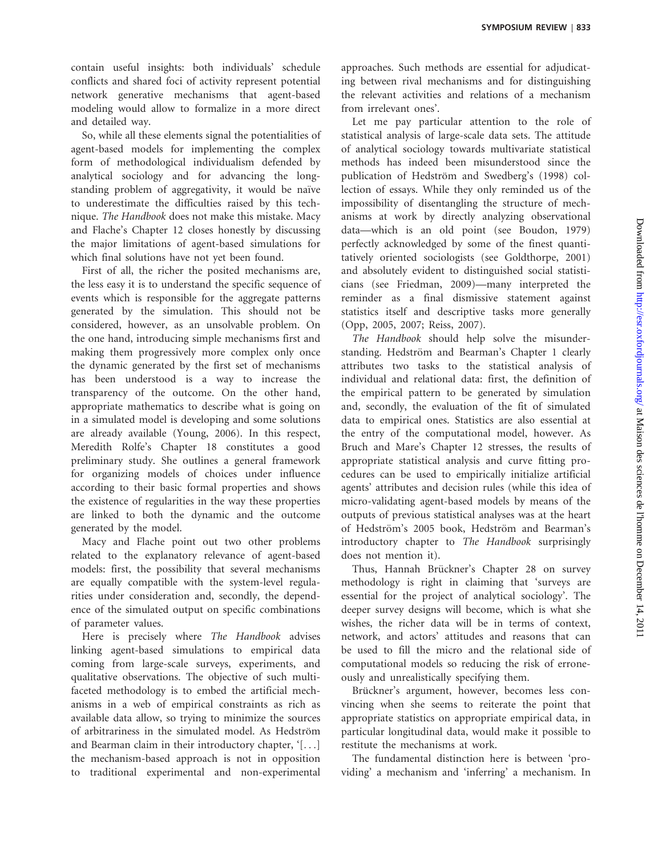contain useful insights: both individuals' schedule conflicts and shared foci of activity represent potential network generative mechanisms that agent-based modeling would allow to formalize in a more direct and detailed way.

So, while all these elements signal the potentialities of agent-based models for implementing the complex form of methodological individualism defended by analytical sociology and for advancing the longstanding problem of aggregativity, it would be naïve to underestimate the difficulties raised by this technique. The Handbook does not make this mistake. Macy and Flache's Chapter 12 closes honestly by discussing the major limitations of agent-based simulations for which final solutions have not yet been found.

First of all, the richer the posited mechanisms are, the less easy it is to understand the specific sequence of events which is responsible for the aggregate patterns generated by the simulation. This should not be considered, however, as an unsolvable problem. On the one hand, introducing simple mechanisms first and making them progressively more complex only once the dynamic generated by the first set of mechanisms has been understood is a way to increase the transparency of the outcome. On the other hand, appropriate mathematics to describe what is going on in a simulated model is developing and some solutions are already available (Young, 2006). In this respect, Meredith Rolfe's Chapter 18 constitutes a good preliminary study. She outlines a general framework for organizing models of choices under influence according to their basic formal properties and shows the existence of regularities in the way these properties are linked to both the dynamic and the outcome generated by the model.

Macy and Flache point out two other problems related to the explanatory relevance of agent-based models: first, the possibility that several mechanisms are equally compatible with the system-level regularities under consideration and, secondly, the dependence of the simulated output on specific combinations of parameter values.

Here is precisely where The Handbook advises linking agent-based simulations to empirical data coming from large-scale surveys, experiments, and qualitative observations. The objective of such multifaceted methodology is to embed the artificial mechanisms in a web of empirical constraints as rich as available data allow, so trying to minimize the sources of arbitrariness in the simulated model. As Hedström and Bearman claim in their introductory chapter, '[...] the mechanism-based approach is not in opposition to traditional experimental and non-experimental

approaches. Such methods are essential for adjudicating between rival mechanisms and for distinguishing the relevant activities and relations of a mechanism from irrelevant ones'.

Let me pay particular attention to the role of statistical analysis of large-scale data sets. The attitude of analytical sociology towards multivariate statistical methods has indeed been misunderstood since the publication of Hedström and Swedberg's (1998) collection of essays. While they only reminded us of the impossibility of disentangling the structure of mechanisms at work by directly analyzing observational data—which is an old point (see Boudon, 1979) perfectly acknowledged by some of the finest quantitatively oriented sociologists (see Goldthorpe, 2001) and absolutely evident to distinguished social statisticians (see Friedman, 2009)—many interpreted the reminder as a final dismissive statement against statistics itself and descriptive tasks more generally (Opp, 2005, 2007; Reiss, 2007).

The Handbook should help solve the misunderstanding. Hedström and Bearman's Chapter 1 clearly attributes two tasks to the statistical analysis of individual and relational data: first, the definition of the empirical pattern to be generated by simulation and, secondly, the evaluation of the fit of simulated data to empirical ones. Statistics are also essential at the entry of the computational model, however. As Bruch and Mare's Chapter 12 stresses, the results of appropriate statistical analysis and curve fitting procedures can be used to empirically initialize artificial agents' attributes and decision rules (while this idea of micro-validating agent-based models by means of the outputs of previous statistical analyses was at the heart of Hedström's 2005 book, Hedström and Bearman's introductory chapter to The Handbook surprisingly does not mention it).

Thus, Hannah Brückner's Chapter 28 on survey methodology is right in claiming that 'surveys are essential for the project of analytical sociology'. The deeper survey designs will become, which is what she wishes, the richer data will be in terms of context, network, and actors' attitudes and reasons that can be used to fill the micro and the relational side of computational models so reducing the risk of erroneously and unrealistically specifying them.

Brückner's argument, however, becomes less convincing when she seems to reiterate the point that appropriate statistics on appropriate empirical data, in particular longitudinal data, would make it possible to restitute the mechanisms at work.

The fundamental distinction here is between 'providing' a mechanism and 'inferring' a mechanism. In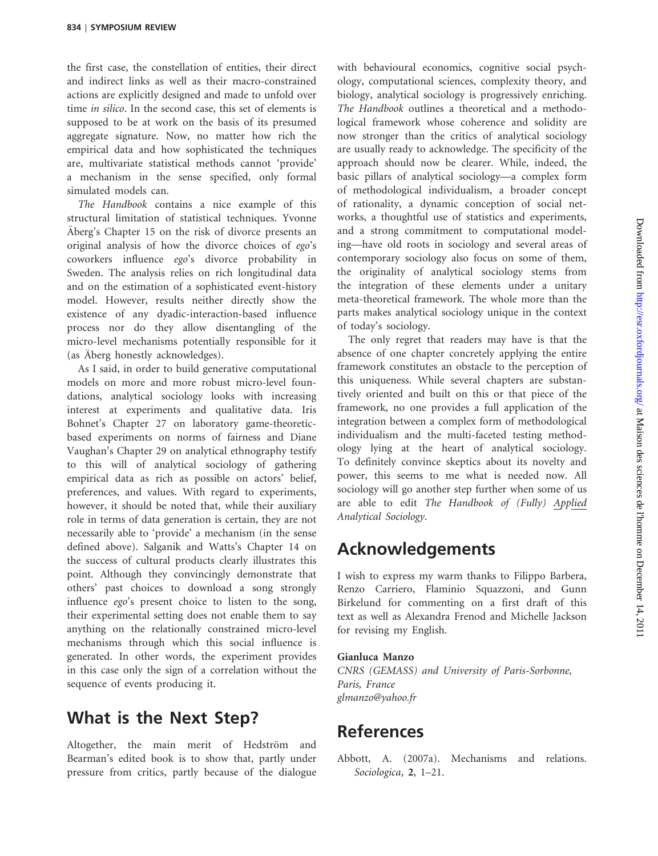the first case, the constellation of entities, their direct and indirect links as well as their macro-constrained actions are explicitly designed and made to unfold over time in silico. In the second case, this set of elements is supposed to be at work on the basis of its presumed aggregate signature. Now, no matter how rich the empirical data and how sophisticated the techniques are, multivariate statistical methods cannot 'provide' a mechanism in the sense specified, only formal simulated models can.

The Handbook contains a nice example of this structural limitation of statistical techniques. Yvonne Äberg's Chapter 15 on the risk of divorce presents an original analysis of how the divorce choices of ego's coworkers influence ego's divorce probability in Sweden. The analysis relies on rich longitudinal data and on the estimation of a sophisticated event-history model. However, results neither directly show the existence of any dyadic-interaction-based influence process nor do they allow disentangling of the micro-level mechanisms potentially responsible for it (as Äberg honestly acknowledges).

As I said, in order to build generative computational models on more and more robust micro-level foundations, analytical sociology looks with increasing interest at experiments and qualitative data. Iris Bohnet's Chapter 27 on laboratory game-theoreticbased experiments on norms of fairness and Diane Vaughan's Chapter 29 on analytical ethnography testify to this will of analytical sociology of gathering empirical data as rich as possible on actors' belief, preferences, and values. With regard to experiments, however, it should be noted that, while their auxiliary role in terms of data generation is certain, they are not necessarily able to 'provide' a mechanism (in the sense defined above). Salganik and Watts's Chapter 14 on the success of cultural products clearly illustrates this point. Although they convincingly demonstrate that others' past choices to download a song strongly influence ego's present choice to listen to the song, their experimental setting does not enable them to say anything on the relationally constrained micro-level mechanisms through which this social influence is generated. In other words, the experiment provides in this case only the sign of a correlation without the sequence of events producing it.

### What is the Next Step?

Altogether, the main merit of Hedström and Bearman's edited book is to show that, partly under pressure from critics, partly because of the dialogue with behavioural economics, cognitive social psychology, computational sciences, complexity theory, and biology, analytical sociology is progressively enriching. The Handbook outlines a theoretical and a methodological framework whose coherence and solidity are now stronger than the critics of analytical sociology are usually ready to acknowledge. The specificity of the approach should now be clearer. While, indeed, the basic pillars of analytical sociology—a complex form of methodological individualism, a broader concept of rationality, a dynamic conception of social networks, a thoughtful use of statistics and experiments, and a strong commitment to computational modeling—have old roots in sociology and several areas of contemporary sociology also focus on some of them, the originality of analytical sociology stems from the integration of these elements under a unitary meta-theoretical framework. The whole more than the parts makes analytical sociology unique in the context of today's sociology.

The only regret that readers may have is that the absence of one chapter concretely applying the entire framework constitutes an obstacle to the perception of this uniqueness. While several chapters are substantively oriented and built on this or that piece of the framework, no one provides a full application of the integration between a complex form of methodological individualism and the multi-faceted testing methodology lying at the heart of analytical sociology. To definitely convince skeptics about its novelty and power, this seems to me what is needed now. All sociology will go another step further when some of us are able to edit The Handbook of (Fully) Applied Analytical Sociology.

# Acknowledgements

I wish to express my warm thanks to Filippo Barbera, Renzo Carriero, Flaminio Squazzoni, and Gunn Birkelund for commenting on a first draft of this text as well as Alexandra Frenod and Michelle Jackson for revising my English.

#### Gianluca Manzo

CNRS (GEMASS) and University of Paris-Sorbonne, Paris, France glmanzo@yahoo.fr

# References

Abbott, A. (2007a). Mechanisms and relations. Sociologica, 2, 1–21.